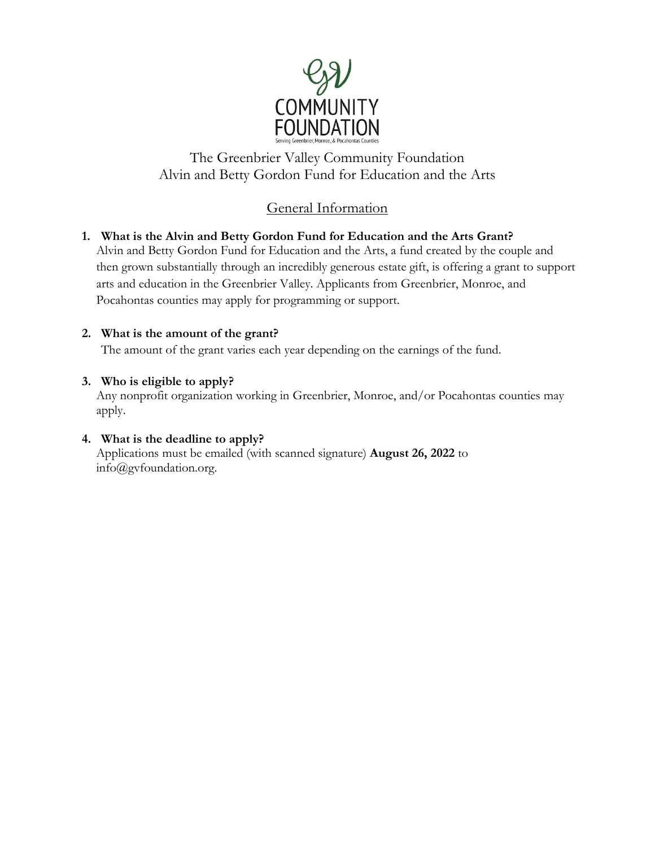

The Greenbrier Valley Community Foundation Alvin and Betty Gordon Fund for Education and the Arts

## General Information

#### **1. What is the Alvin and Betty Gordon Fund for Education and the Arts Grant?** Alvin and Betty Gordon Fund for Education and the Arts, a fund created by the couple and then grown substantially through an incredibly generous estate gift, is offering a grant to support arts and education in the Greenbrier Valley. Applicants from Greenbrier, Monroe, and Pocahontas counties may apply for programming or support.

#### **2. What is the amount of the grant?**

The amount of the grant varies each year depending on the earnings of the fund.

#### **3. Who is eligible to apply?**

Any nonprofit organization working in Greenbrier, Monroe, and/or Pocahontas counties may apply.

#### **4. What is the deadline to apply?**

Applications must be emailed (with scanned signature) **August 26, 2022** to info@gvfoundation.org.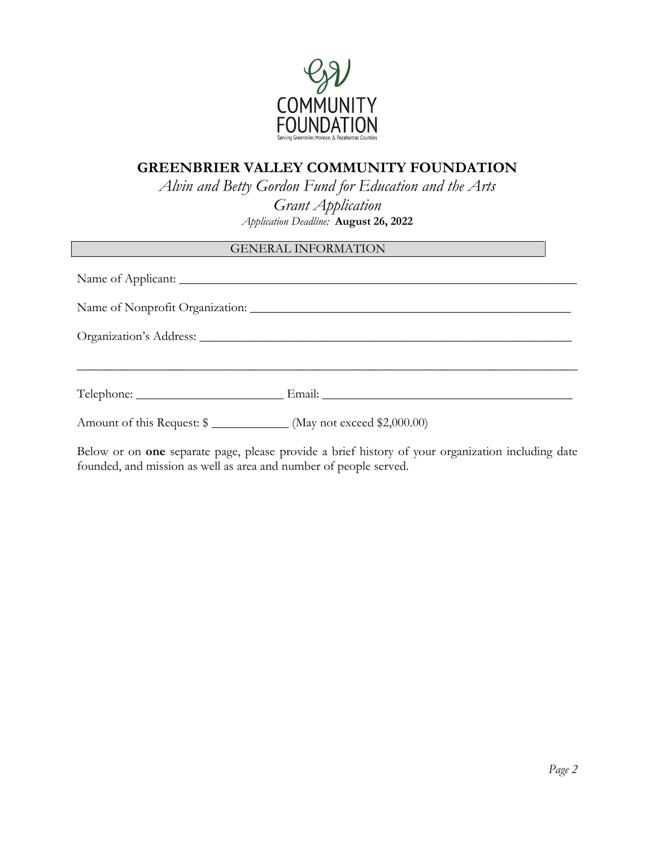

### **GREENBRIER VALLEY COMMUNITY FOUNDATION**

*Alvin and Betty Gordon Fund for Education and the Arts*

*Grant Application Application Deadline:* **August 26, 2022**

#### GENERAL INFORMATION

|                                                                       | Name of Nonprofit Organization: |
|-----------------------------------------------------------------------|---------------------------------|
|                                                                       |                                 |
|                                                                       |                                 |
| Amount of this Request: \$ ______________ (May not exceed \$2,000.00) |                                 |

Below or on **one** separate page, please provide a brief history of your organization including date founded, and mission as well as area and number of people served.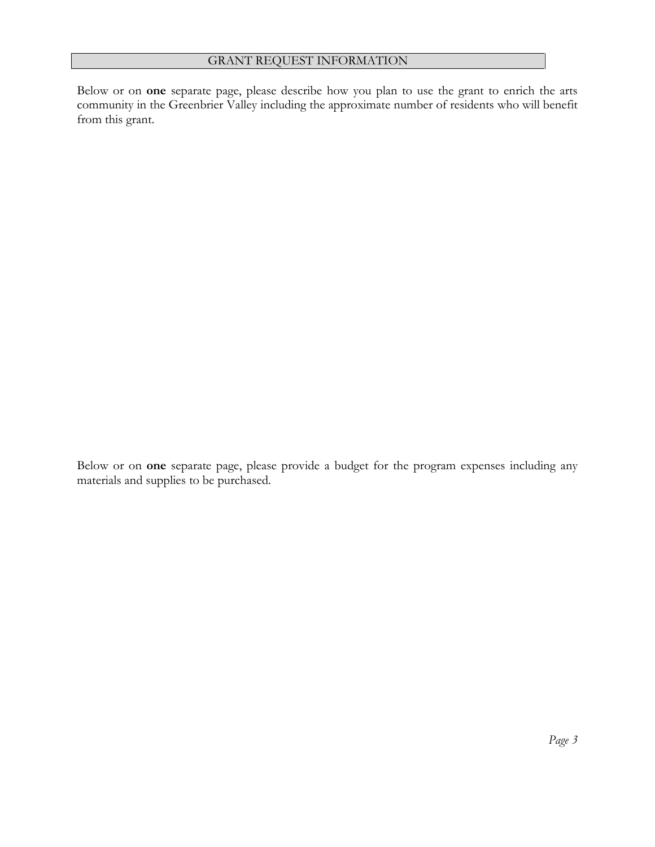Below or on **one** separate page, please describe how you plan to use the grant to enrich the arts community in the Greenbrier Valley including the approximate number of residents who will benefit from this grant.

Below or on **one** separate page, please provide a budget for the program expenses including any materials and supplies to be purchased.